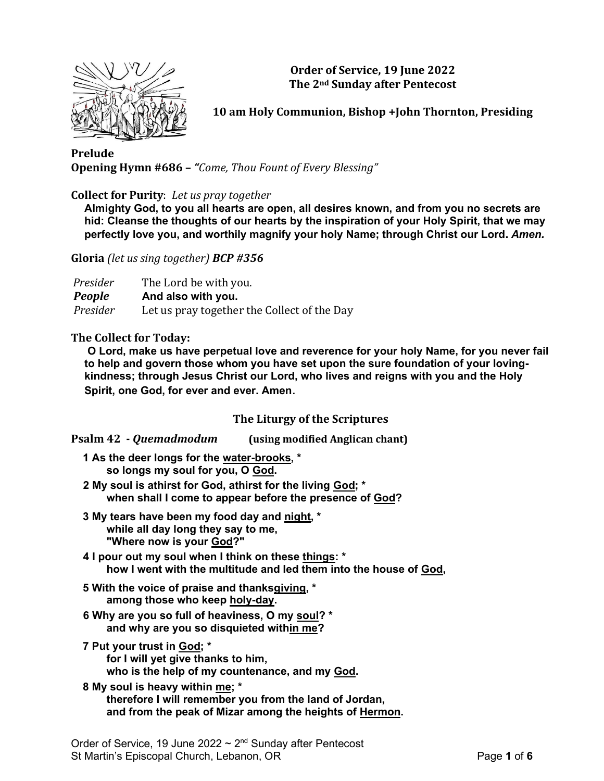

**Order of Service, 19 June 2022 The 2nd Sunday after Pentecost**

**10 am Holy Communion, Bishop +John Thornton, Presiding**

**Prelude Opening Hymn #686 –** *"Come, Thou Fount of Every Blessing"*

**Collect for Purity**: *Let us pray together*

**Almighty God, to you all hearts are open, all desires known, and from you no secrets are hid: Cleanse the thoughts of our hearts by the inspiration of your Holy Spirit, that we may perfectly love you, and worthily magnify your holy Name; through Christ our Lord.** *Amen.*

**Gloria** *(let us sing together) BCP #356*

| Presider      | The Lord be with you.                       |
|---------------|---------------------------------------------|
| <b>People</b> | And also with you.                          |
| Presider      | Let us pray together the Collect of the Day |

#### **The Collect for Today:**

**O Lord, make us have perpetual love and reverence for your holy Name, for you never fail to help and govern those whom you have set upon the sure foundation of your lovingkindness; through Jesus Christ our Lord, who lives and reigns with you and the Holy Spirit, one God, for ever and ever. Amen**.

## **The Liturgy of the Scriptures**

**Psalm 42 -** *Quemadmodum* **(using modified Anglican chant)**

- **1 As the deer longs for the water-brooks, \* so longs my soul for you, O God.**
- **2 My soul is athirst for God, athirst for the living God; \* when shall I come to appear before the presence of God?**
- **3 My tears have been my food day and night, \* while all day long they say to me, "Where now is your God?"**
- **4 I pour out my soul when I think on these things: \* how I went with the multitude and led them into the house of God,**
- **5 With the voice of praise and thanksgiving, \* among those who keep holy-day.**
- **6 Why are you so full of heaviness, O my soul? \* and why are you so disquieted within me?**
- **7 Put your trust in God; \* for I will yet give thanks to him, who is the help of my countenance, and my God.**
- **8 My soul is heavy within me; \* therefore I will remember you from the land of Jordan, and from the peak of Mizar among the heights of Hermon.**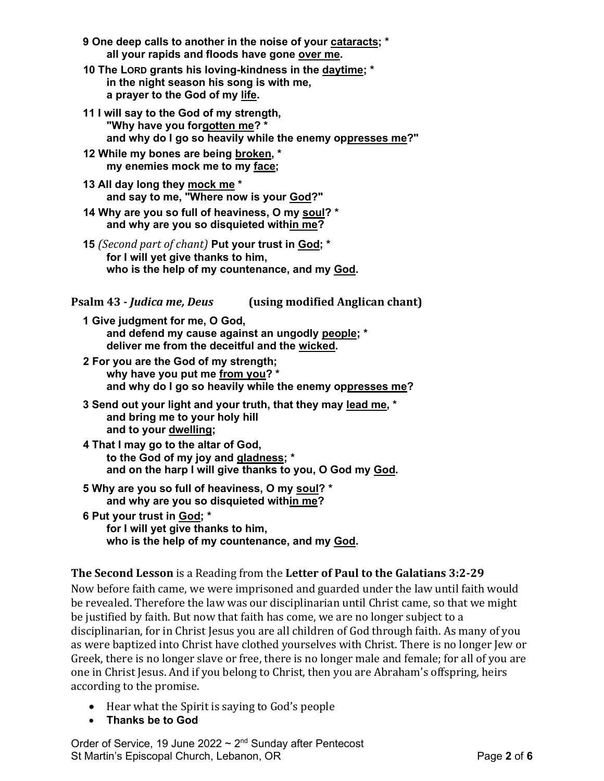- **9 One deep calls to another in the noise of your cataracts; \* all your rapids and floods have gone over me.**
- **10 The LORD grants his loving-kindness in the daytime; \* in the night season his song is with me, a prayer to the God of my life.**
- **11 I will say to the God of my strength, "Why have you forgotten me? \* and why do I go so heavily while the enemy oppresses me?"**
- **12 While my bones are being broken, \* my enemies mock me to my face;**
- **13 All day long they mock me \* and say to me, "Where now is your God?"**
- **14 Why are you so full of heaviness, O my soul? \* and why are you so disquieted within me?**
- **15** *(Second part of chant)* **Put your trust in God; \* for I will yet give thanks to him, who is the help of my countenance, and my God.**

# **Psalm 43 -** *Judica me, Deus* **(using modified Anglican chant)**

- **1 Give judgment for me, O God, and defend my cause against an ungodly people; \* deliver me from the deceitful and the wicked.**
- **2 For you are the God of my strength; why have you put me from you? \* and why do I go so heavily while the enemy oppresses me?**
- **3 Send out your light and your truth, that they may lead me, \* and bring me to your holy hill and to your dwelling;**
- **4 That I may go to the altar of God, to the God of my joy and gladness; \* and on the harp I will give thanks to you, O God my God.**
- **5 Why are you so full of heaviness, O my soul? \* and why are you so disquieted within me?**
- **6 Put your trust in God; \* for I will yet give thanks to him, who is the help of my countenance, and my God.**

# **The Second Lesson** is a Reading from the **Letter of Paul to the Galatians 3:2-29**

Now before faith came, we were imprisoned and guarded under the law until faith would be revealed. Therefore the law was our disciplinarian until Christ came, so that we might be justified by faith. But now that faith has come, we are no longer subject to a disciplinarian, for in Christ Jesus you are all children of God through faith. As many of you as were baptized into Christ have clothed yourselves with Christ. There is no longer Jew or Greek, there is no longer slave or free, there is no longer male and female; for all of you are one in Christ Jesus. And if you belong to Christ, then you are Abraham's offspring, heirs according to the promise.

- Hear what the Spirit is saying to God's people
- **Thanks be to God**

Order of Service, 19 June 2022  $\sim$  2<sup>nd</sup> Sunday after Pentecost St Martin's Episcopal Church, Lebanon, OR Page **2** of **6**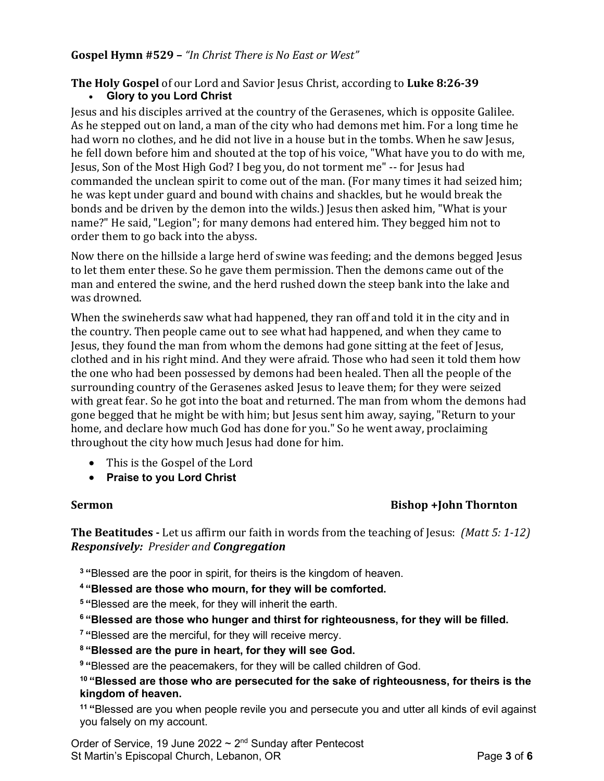## **Gospel Hymn #529 –** *"In Christ There is No East or West"*

## **The Holy Gospel** of our Lord and Savior Jesus Christ, according to **Luke 8:26-39** • **Glory to you Lord Christ**

Jesus and his disciples arrived at the country of the Gerasenes, which is opposite Galilee. As he stepped out on land, a man of the city who had demons met him. For a long time he had worn no clothes, and he did not live in a house but in the tombs. When he saw Jesus, he fell down before him and shouted at the top of his voice, "What have you to do with me, Jesus, Son of the Most High God? I beg you, do not torment me" -- for Jesus had commanded the unclean spirit to come out of the man. (For many times it had seized him; he was kept under guard and bound with chains and shackles, but he would break the bonds and be driven by the demon into the wilds.) Jesus then asked him, "What is your name?" He said, "Legion"; for many demons had entered him. They begged him not to order them to go back into the abyss.

Now there on the hillside a large herd of swine was feeding; and the demons begged Jesus to let them enter these. So he gave them permission. Then the demons came out of the man and entered the swine, and the herd rushed down the steep bank into the lake and was drowned.

When the swineherds saw what had happened, they ran off and told it in the city and in the country. Then people came out to see what had happened, and when they came to Jesus, they found the man from whom the demons had gone sitting at the feet of Jesus, clothed and in his right mind. And they were afraid. Those who had seen it told them how the one who had been possessed by demons had been healed. Then all the people of the surrounding country of the Gerasenes asked Jesus to leave them; for they were seized with great fear. So he got into the boat and returned. The man from whom the demons had gone begged that he might be with him; but Jesus sent him away, saying, "Return to your home, and declare how much God has done for you." So he went away, proclaiming throughout the city how much Jesus had done for him.

- This is the Gospel of the Lord
- **Praise to you Lord Christ**

## **Sermon Bishop +John Thornton**

**The Beatitudes -** Let us affirm our faith in words from the teaching of Jesus: *(Matt 5: 1-12) Responsively: Presider and Congregation*

**<sup>3</sup> "**Blessed are the poor in spirit, for theirs is the kingdom of heaven.

**<sup>4</sup> "Blessed are those who mourn, for they will be comforted.**

**<sup>5</sup> "**Blessed are the meek, for they will inherit the earth.

**<sup>6</sup> "Blessed are those who hunger and thirst for righteousness, for they will be filled.**

**<sup>7</sup> "**Blessed are the merciful, for they will receive mercy.

**<sup>8</sup> "Blessed are the pure in heart, for they will see God.**

**<sup>9</sup> "**Blessed are the peacemakers, for they will be called children of God.

#### **<sup>10</sup> "Blessed are those who are persecuted for the sake of righteousness, for theirs is the kingdom of heaven.**

**<sup>11</sup> "**Blessed are you when people revile you and persecute you and utter all kinds of evil against you falsely on my account.

Order of Service, 19 June 2022  $\sim$  2<sup>nd</sup> Sunday after Pentecost St Martin's Episcopal Church, Lebanon, OR **Page 3** of 6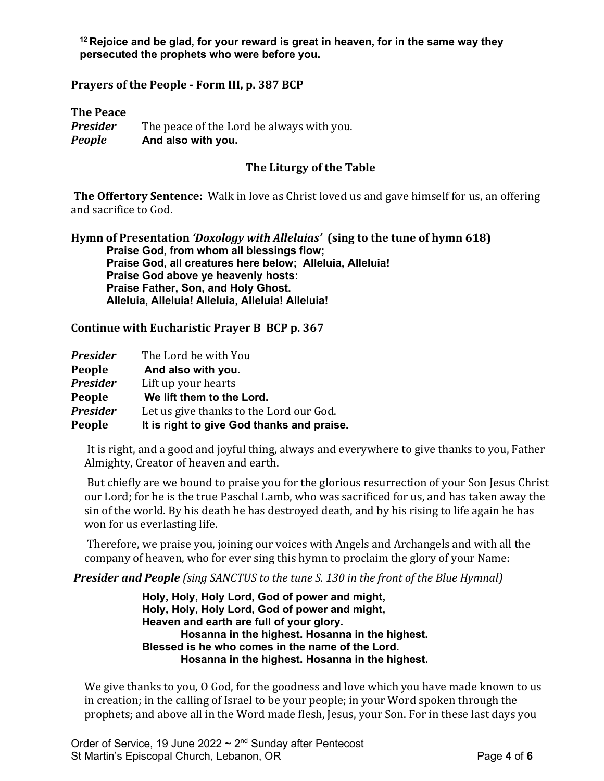**<sup>12</sup> Rejoice and be glad, for your reward is great in heaven, for in the same way they persecuted the prophets who were before you.**

**Prayers of the People - Form III, p. 387 BCP**

**The Peace** *Presider* The peace of the Lord be always with you. *People* **And also with you.**

#### **The Liturgy of the Table**

**The Offertory Sentence:** Walk in love as Christ loved us and gave himself for us, an offering and sacrifice to God.

**Hymn of Presentation** *'Doxology with Alleluias'* **(sing to the tune of hymn 618) Praise God, from whom all blessings flow; Praise God, all creatures here below; Alleluia, Alleluia! Praise God above ye heavenly hosts: Praise Father, Son, and Holy Ghost. Alleluia, Alleluia! Alleluia, Alleluia! Alleluia!**

**Continue with Eucharistic Prayer B BCP p. 367**

| <b>Presider</b> | The Lord be with You                       |
|-----------------|--------------------------------------------|
| People          | And also with you.                         |
| <b>Presider</b> | Lift up your hearts                        |
| People          | We lift them to the Lord.                  |
| <b>Presider</b> | Let us give thanks to the Lord our God.    |
| People          | It is right to give God thanks and praise. |

It is right, and a good and joyful thing, always and everywhere to give thanks to you, Father Almighty, Creator of heaven and earth.

But chiefly are we bound to praise you for the glorious resurrection of your Son Jesus Christ our Lord; for he is the true Paschal Lamb, who was sacrificed for us, and has taken away the sin of the world. By his death he has destroyed death, and by his rising to life again he has won for us everlasting life.

Therefore, we praise you, joining our voices with Angels and Archangels and with all the company of heaven, who for ever sing this hymn to proclaim the glory of your Name:

*Presider and People (sing SANCTUS to the tune S. 130 in the front of the Blue Hymnal)*

**Holy, Holy, Holy Lord, God of power and might, Holy, Holy, Holy Lord, God of power and might, Heaven and earth are full of your glory. Hosanna in the highest. Hosanna in the highest. Blessed is he who comes in the name of the Lord. Hosanna in the highest. Hosanna in the highest.**

We give thanks to you, O God, for the goodness and love which you have made known to us in creation; in the calling of Israel to be your people; in your Word spoken through the prophets; and above all in the Word made flesh, Jesus, your Son. For in these last days you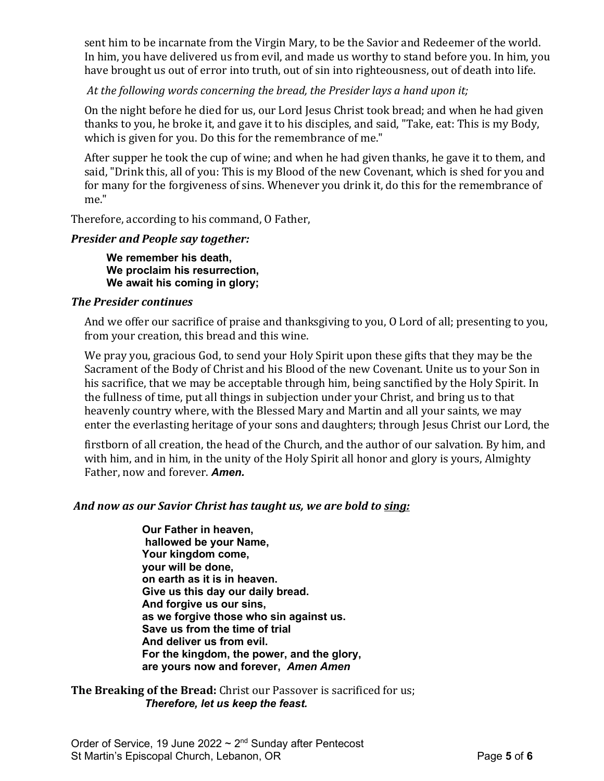sent him to be incarnate from the Virgin Mary, to be the Savior and Redeemer of the world. In him, you have delivered us from evil, and made us worthy to stand before you. In him, you have brought us out of error into truth, out of sin into righteousness, out of death into life.

*At the following words concerning the bread, the Presider lays a hand upon it;*

On the night before he died for us, our Lord Jesus Christ took bread; and when he had given thanks to you, he broke it, and gave it to his disciples, and said, "Take, eat: This is my Body, which is given for you. Do this for the remembrance of me."

After supper he took the cup of wine; and when he had given thanks, he gave it to them, and said, "Drink this, all of you: This is my Blood of the new Covenant, which is shed for you and for many for the forgiveness of sins. Whenever you drink it, do this for the remembrance of me."

Therefore, according to his command, O Father,

# *Presider and People say together:*

**We remember his death, We proclaim his resurrection, We await his coming in glory;**

## *The Presider continues*

And we offer our sacrifice of praise and thanksgiving to you, O Lord of all; presenting to you, from your creation, this bread and this wine.

We pray you, gracious God, to send your Holy Spirit upon these gifts that they may be the Sacrament of the Body of Christ and his Blood of the new Covenant. Unite us to your Son in his sacrifice, that we may be acceptable through him, being sanctified by the Holy Spirit. In the fullness of time, put all things in subjection under your Christ, and bring us to that heavenly country where, with the Blessed Mary and Martin and all your saints, we may enter the everlasting heritage of your sons and daughters; through Jesus Christ our Lord, the

firstborn of all creation, the head of the Church, and the author of our salvation. By him, and with him, and in him, in the unity of the Holy Spirit all honor and glory is yours, Almighty Father, now and forever. *Amen.*

## *And now as our Savior Christ has taught us, we are bold to sing:*

**Our Father in heaven, hallowed be your Name, Your kingdom come, your will be done, on earth as it is in heaven. Give us this day our daily bread. And forgive us our sins, as we forgive those who sin against us. Save us from the time of trial And deliver us from evil. For the kingdom, the power, and the glory, are yours now and forever,** *Amen Amen*

**The Breaking of the Bread:** Christ our Passover is sacrificed for us; *Therefore, let us keep the feast.*